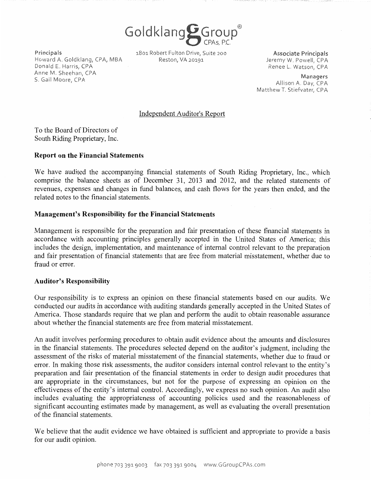Goldklang Group®

Principals Howard A. Goldklang, CPA, MBA Reston, VA 20191 Donald E. Harris, CPA Anne M. Sheehan, CPA S. Gail Moore, CPA

1801 Robert Fulton Drive, Suite 200

**Associate Principals** Jeremy W. Powell, CPA Renee L. Watson, CPA

Managers Allison A. Day, CPA Matthew T. Stiefvater, CPA

### Independent Auditor's Report

To the Board of Directors of South Riding Proprietary, Inc.

### **Report on the Financial Statements**

We have audited the accompanying financial statements of South Riding Proprietary, Inc., which comprise the balance sheets as of December 31, 2013 and 2012, and the related statements of revenues, expenses and changes in fund balances, and cash flows for the years then ended, and the related notes to the financial statements.

# **Management's Responsibility for the Financial Statements**

Management is responsible for the preparation and fair presentation of these financial statements in accordance with accounting principles generally accepted in the United States of America; this includes the design, implementation, and maintenance of internal control relevant to the preparation and fair presentation of financial statements that are free from material misstatement, whether due to fraud or error.

#### **Auditor's Responsibility**

Our responsibility is to express an opinion on these financial statements based on our audits. We conducted our audits in accordance with auditing standards generally accepted in the United States of America. Those standards require that we plan and perform the audit to obtain reasonable assurance about whether the financial statements are free from material misstatement.

An audit involves performing procedures to obtain audit evidence about the amounts and disclosures in the financial statements. The procedures selected depend on the auditor's judgment, including the assessment of the risks of material misstatement of the financial statements, whether due to fraud or error. In making those risk assessments, the auditor considers internal control relevant to the entity's preparation and fair presentation of the financial statements in order to design audit procedures that are appropriate in the circumstances, but not for the purpose of expressing an opinion on the effectiveness of the entity's internal control. Accordingly, we express no such opinion. An audit also includes evaluating the appropriateness of accounting policies used and the reasonableness of significant accounting estimates made by management, as well as evaluating the overall presentation ofthe financial statements.

We believe that the audit evidence we have obtained is sufficient and appropriate to provide a basis for our audit opinion.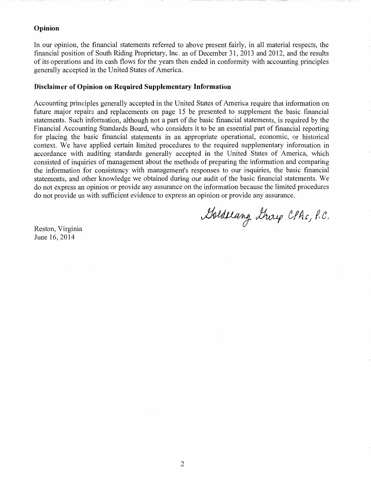# **Opinion**

In our opinion, the financial statements referred to above present fairly, in all material respects, the financial position of South Riding Proprietary, Inc. as of December 31, 2013 and 2012, and the results of its operations and its cash flows for the years then ended in conformity with accounting principles generally accepted in the United States of America.

### **Disclaimer of Opinion on Required Supplementary Information**

Accounting principles generally accepted in the United States of America require that information on future major repairs and replacements on page 15 be presented to supplement the basic financial statements. Such information, although not a part of the basic financial statements, is required by the Financial Accounting Standards Board, who considers it to be an essential part of financial reporting for placing the basic financial statements in an appropriate operational, economic, or historical context. We have applied certain limited procedures to the required supplementary information in accordance with auditing standards generally accepted in the United States of America, which consisted of inquiries of management about the methods of preparing the information and comparing the information for consistency with management's responses to our inquiries, the basic financial statements, and other knowledge we obtained during our audit of the basic financial statements. We do not express an opinion or provide any assurance on the information because the limited procedures do not provide us with sufficient evidence to express an opinion or provide any assurance.

Goldslang Group CPAS, P.C.

Reston, Virginia June 16, 2014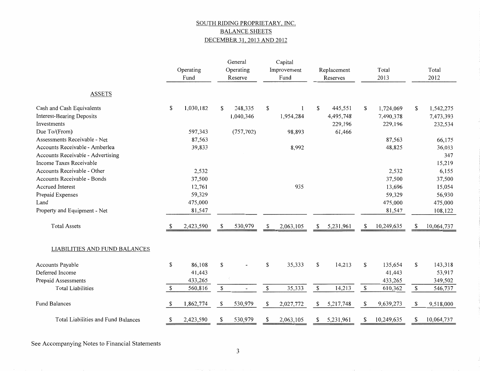# SOUTH RIDING PROPRIETARY, INC. BALANCE SHEETS DECEMBER 31, 2013 AND 2012

|                                     |              | Operating<br>Fund | General<br>Operating<br>Reserve |            | Capital<br>Improvement<br>Fund |           | Replacement<br>Reserves |           | Total<br>2013 |            |    | Total<br>2012 |
|-------------------------------------|--------------|-------------------|---------------------------------|------------|--------------------------------|-----------|-------------------------|-----------|---------------|------------|----|---------------|
| <b>ASSETS</b>                       |              |                   |                                 |            |                                |           |                         |           |               |            |    |               |
| Cash and Cash Equivalents           | S            | 1,030,182         | S                               | 248,335    | \$                             |           | \$                      | 445,551   | \$            | 1,724,069  | \$ | 1,542,275     |
| <b>Interest-Bearing Deposits</b>    |              |                   |                                 | 1,040,346  |                                | 1,954,284 |                         | 4,495,748 |               | 7,490,378  |    | 7,473,393     |
| Investments                         |              |                   |                                 |            |                                |           |                         | 229,196   |               | 229,196    |    | 232,534       |
| Due To/(From)                       |              | 597,343           |                                 | (757, 702) |                                | 98,893    |                         | 61,466    |               |            |    |               |
| Assessments Receivable - Net        |              | 87,563            |                                 |            |                                |           |                         |           |               | 87,563     |    | 66,175        |
| Accounts Receivable - Amberlea      |              | 39,833            |                                 |            |                                | 8,992     |                         |           |               | 48,825     |    | 36,033        |
| Accounts Receivable - Advertising   |              |                   |                                 |            |                                |           |                         |           |               |            |    | 347           |
| Income Taxes Receivable             |              |                   |                                 |            |                                |           |                         |           |               |            |    | 15,219        |
| Accounts Receivable - Other         |              | 2,532             |                                 |            |                                |           |                         |           |               | 2,532      |    | 6,155         |
| Accounts Receivable - Bonds         |              | 37,500            |                                 |            |                                |           |                         |           |               | 37,500     |    | 37,500        |
| <b>Accrued Interest</b>             |              | 12,761            |                                 |            |                                | 935       |                         |           |               | 13,696     |    | 15,054        |
| Prepaid Expenses                    |              | 59,329            |                                 |            |                                |           |                         |           |               | 59,329     |    | 56,930        |
| Land                                |              | 475,000           |                                 |            |                                |           |                         |           |               | 475,000    |    | 475,000       |
| Property and Equipment - Net        |              | 81,547            |                                 |            |                                |           |                         |           |               | 81,547     |    | 108,122       |
| <b>Total Assets</b>                 |              | 2,423,590         | £.                              | 530,979    | \$                             | 2,063,105 | \$.                     | 5,231,961 | S             | 10,249,635 | S. | 10,064,737    |
| LIABILITIES AND FUND BALANCES       |              |                   |                                 |            |                                |           |                         |           |               |            |    |               |
| Accounts Payable                    | \$           | 86,108            | \$                              |            | \$                             | 35,333    | \$                      | 14,213    | \$            | 135,654    | \$ | 143,318       |
| Deferred Income                     |              | 41,443            |                                 |            |                                |           |                         |           |               | 41,443     |    | 53,917        |
| Prepaid Assessments                 |              | 433,265           |                                 |            |                                |           |                         |           |               | 433,265    |    | 349,502       |
| <b>Total Liabilities</b>            | <sup>S</sup> | 560,816           | \$                              |            | \$                             | 35,333    | $\mathbb S$             | 14,213    | $\mathbb S$   | 610,362    | \$ | 546,737       |
| <b>Fund Balances</b>                | S.           | 1,862,774         | S                               | 530,979    | \$                             | 2,027,772 | \$                      | 5,217,748 | \$            | 9,639,273  | S  | 9,518,000     |
| Total Liabilities and Fund Balances | S            | 2,423,590         | S                               | 530,979    | \$                             | 2,063,105 |                         | 5,231,961 | \$            | 10,249,635 | S  | 10,064,737    |

See Accompanying Notes to Financial Statements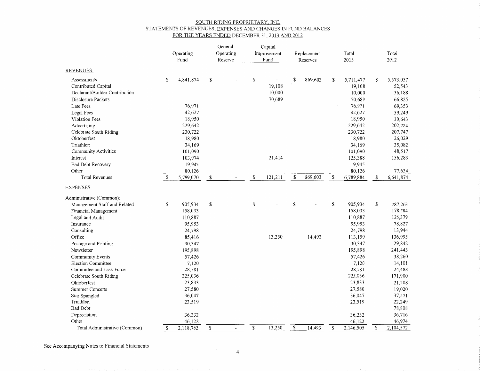#### SOUTH RIDING PROPRIETARY, INC. STATEMENTS OF REVENUES EXPENSES AND CHANGES IN FUND BALANCES FOR THE YEARS ENDED DECEMBER 31, 2013 AND 2012

| <b>REVENUES:</b>               | Operating<br>Fund | General<br>Operating<br>Reserve |    | Capital<br>Improvement<br>Fund |    | Replacement<br>Reserves |              | Total<br>2013 |    | Total<br>2012 |
|--------------------------------|-------------------|---------------------------------|----|--------------------------------|----|-------------------------|--------------|---------------|----|---------------|
| Assessments                    | \$<br>4,841,874   | \$                              | \$ |                                | \$ | 869,603                 | S            | 5,711,477     | \$ | 5,573,057     |
| Contributed Capital            |                   |                                 |    | 19,108                         |    |                         |              | 19,108        |    | 52,543        |
| Declarant/Builder Contribution |                   |                                 |    | 10,000                         |    |                         |              | 10,000        |    | 36,188        |
| Disclosure Packets             |                   |                                 |    | 70,689                         |    |                         |              | 70,689        |    | 66,825        |
| Late Fees                      | 76,971            |                                 |    |                                |    |                         |              | 76,971        |    | 69,353        |
| <b>Legal Fees</b>              | 42,627            |                                 |    |                                |    |                         |              | 42,627        |    | 59,249        |
| <b>Violation Fees</b>          | 18,950            |                                 |    |                                |    |                         |              | 18,950        |    | 30,643        |
| Advertising                    | 229,642           |                                 |    |                                |    |                         |              | 229,642       |    | 202,724       |
| Celebrate South Riding         | 230,722           |                                 |    |                                |    |                         |              | 230,722       |    | 207,747       |
| Oktoberfest                    | 18,980            |                                 |    |                                |    |                         |              | 18,980        |    | 26,029        |
| Triathlon                      | 34,169            |                                 |    |                                |    |                         |              | 34,169        |    | 35,082        |
| <b>Community Activities</b>    | 101,090           |                                 |    |                                |    |                         |              | 101,090       |    | 48,517        |
| Interest                       | 103,974           |                                 |    | 21,414                         |    |                         |              | 125,388       |    | 156,283       |
| <b>Bad Debt Recovery</b>       | 19,945            |                                 |    |                                |    |                         |              | 19,945        |    |               |
| Other                          | 80,126            |                                 |    |                                |    |                         |              | 80,126        |    | 77,634        |
| <b>Total Revenues</b>          | \$<br>5,799,070   | \$<br>$\overline{\phantom{0}}$  | \$ | 121,211                        | S  | 869,603                 | $\mathbb{S}$ | 6,789,884     | \$ | 6,641,874     |
| <b>EXPENSES:</b>               |                   |                                 |    |                                |    |                         |              |               |    |               |
| Administrative (Common):       |                   |                                 |    |                                |    |                         |              |               |    |               |
| Management Staff and Related   | \$<br>905,934     | \$                              | S  |                                | S  |                         | $\mathbf S$  | 905,934       | \$ | 787,263       |
| Financial Management           | 158,033           |                                 |    |                                |    |                         |              | 158,033       |    | 178,584       |
| Legal and Audit                | 110,887           |                                 |    |                                |    |                         |              | 110,887       |    | 126,379       |
| Insurance                      | 95,953            |                                 |    |                                |    |                         |              | 95,953        |    | 78,827        |
| Consulting                     | 24,798            |                                 |    |                                |    |                         |              | 24,798        |    | 13,944        |
| Office                         | 85,416            |                                 |    | 13,250                         |    | 14,493                  |              | 113,159       |    | 136,995       |
| Postage and Printing           | 30,347            |                                 |    |                                |    |                         |              | 30,347        |    | 29,842        |
| Newsletter                     | 195,898           |                                 |    |                                |    |                         |              | 195,898       |    | 241,443       |
| <b>Community Events</b>        | 57,426            |                                 |    |                                |    |                         |              | 57,426        |    | 38,260        |
| <b>Election Committee</b>      | 7,120             |                                 |    |                                |    |                         |              | 7,120         |    | 14,101        |
| Committee and Task Force       | 28,581            |                                 |    |                                |    |                         |              | 28,581        |    | 24,488        |
| Celebrate South Riding         | 225,036           |                                 |    |                                |    |                         |              | 225,036       |    | 171,900       |
| Oktoberfest                    | 23,833            |                                 |    |                                |    |                         |              | 23,833        |    | 21,208        |
| <b>Summer Concerts</b>         | 27,580            |                                 |    |                                |    |                         |              | 27,580        |    | 19,020        |
| Star Spangled                  | 36,047            |                                 |    |                                |    |                         |              | 36,047        |    | 37,571        |
| Triathlon                      | 23,519            |                                 |    |                                |    |                         |              | 23,519        |    | 22,249        |
| <b>Bad Debt</b>                |                   |                                 |    |                                |    |                         |              |               |    | 78,808        |
| Depreciation                   | 36,232            |                                 |    |                                |    |                         |              | 36,232        |    | 36,716        |
| Other                          | 46,122            |                                 |    |                                |    |                         |              | 46,122        |    | 46,974        |
| Total Administrative (Common)  | \$<br>2,118,762   | \$                              | \$ | 13,250                         | \$ | 14,493                  | \$           | 2,146,505     | S  | 2,104,572     |

See Accompanying Notes to Financial Statements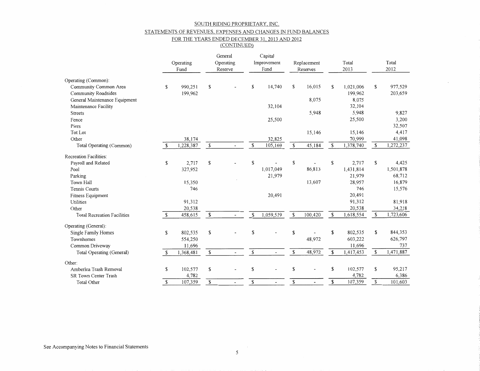#### SOUTH RIDING PROPRIETARY, INC.

#### STATEMENTS OF REVENUES EXPENSES AND CHANGES IN FUND BALANCES

#### FOR THE YEARS ENDED DECEMBER 31, 2013 AND 2012 (CONTINUED)

|                                    |               | Operating<br>Fund |             | General<br>Operating<br>Reserve |               | Capital<br>Improvement<br>Fund |                      | Total<br>Replacement<br>2013<br>Reserves |    | Total<br>2012 |    |           |
|------------------------------------|---------------|-------------------|-------------|---------------------------------|---------------|--------------------------------|----------------------|------------------------------------------|----|---------------|----|-----------|
| Operating (Common):                |               |                   |             |                                 |               |                                |                      |                                          |    |               |    |           |
| Community Common Area              | \$            | 990,251           | \$          |                                 | <sup>\$</sup> | 14,740                         | \$                   | 16,015                                   | S  | 1,021,006     | \$ | 977,529   |
| Community Roadsides                |               | 199,962           |             |                                 |               |                                |                      |                                          |    | 199,962       |    | 203,659   |
| General Maintenance Equipment      |               |                   |             |                                 |               |                                |                      | 8,075                                    |    | 8,075         |    |           |
| Maintenance Facility               |               |                   |             |                                 |               | 32,104                         |                      |                                          |    | 32,104        |    |           |
| <b>Streets</b>                     |               |                   |             |                                 |               |                                |                      | 5,948                                    |    | 5,948         |    | 9,827     |
| Fence                              |               |                   |             |                                 |               | 25,500                         |                      |                                          |    | 25,500        |    | 3,200     |
| Piers                              |               |                   |             |                                 |               |                                |                      |                                          |    |               |    | 32,507    |
| <b>Tot Lot</b>                     |               |                   |             |                                 |               |                                |                      | 15,146                                   |    | 15,146        |    | 4,417     |
| Other                              |               | 38,174            |             |                                 |               | 32,825                         |                      |                                          |    | 70,999        |    | 41,098    |
| Total Operating (Common)           | £.            | 1,228,387         | \$          |                                 | \$            | 105,169                        | $\mathbf S$          | 45,184                                   | \$ | 1,378,740     | \$ | 1,272,237 |
| <b>Recreation Facilities:</b>      |               |                   |             |                                 |               |                                |                      |                                          |    |               |    |           |
| Payroll and Related                | \$            | 2,717             | \$          |                                 | \$            |                                | \$                   |                                          | \$ | 2,717         | \$ | 4,425     |
| Pool                               |               | 327,952           |             |                                 |               | 1,017,049                      |                      | 86,813                                   |    | 1,431,814     |    | 1,501,878 |
| Parking                            |               |                   |             |                                 |               | 21,979                         |                      |                                          |    | 21,979        |    | 68,712    |
| Town Hall                          |               | 15,350            |             |                                 |               |                                |                      | 13,607                                   |    | 28,957        |    | 16,879    |
| Tennis Courts                      |               | 746               |             |                                 |               |                                |                      |                                          |    | 746           |    | 15,576    |
| Fitness Equipment                  |               |                   |             |                                 |               | 20,491                         |                      |                                          |    | 20,491        |    |           |
| Utilities                          |               | 91,312            |             |                                 |               |                                |                      |                                          |    | 91,312        |    | 81,918    |
| Other                              |               | 20,538            |             |                                 |               |                                |                      |                                          |    | 20,538        |    | 34,218    |
| <b>Total Recreation Facilities</b> | <sup>\$</sup> | 458,615           | \$          |                                 | \$            | 1,059,519                      | \$                   | 100,420                                  | \$ | 1,618,554     | \$ | 1,723,606 |
| Operating (General):               |               |                   |             |                                 |               |                                |                      |                                          |    |               |    |           |
| Single Family Homes                | \$            | 802,535           | \$          |                                 | \$            |                                | \$                   |                                          | \$ | 802,535       | \$ | 844,353   |
| Townhomes                          |               | 554,250           |             |                                 |               |                                |                      | 48,972                                   |    | 603,222       |    | 626,797   |
| Common Driveway                    |               | 11,696            |             |                                 |               |                                |                      |                                          |    | 11,696        |    | 737       |
| Total Operating (General)          | <sup>\$</sup> | 1,368,481         | \$          |                                 | \$            | $\overline{\phantom{a}}$       | \$                   | 48,972                                   | \$ | 1,417,453     | \$ | 1,471,887 |
| Other:                             |               |                   |             |                                 |               |                                |                      |                                          |    |               |    |           |
| Amberlea Trash Removal             | \$            | 102,577           | $\mathbb S$ |                                 | \$            |                                | \$                   |                                          | \$ | 102,577       | \$ | 95,217    |
| SR Town Center Trash               |               | 4,782             |             |                                 |               |                                |                      |                                          |    | 4,782         |    | 6,386     |
| <b>Total Other</b>                 | \$            | 107,359           | \$          |                                 | \$            |                                | $\sqrt{\frac{2}{3}}$ | $\overline{\phantom{a}}$                 | \$ | 107,359       | \$ | 101,603   |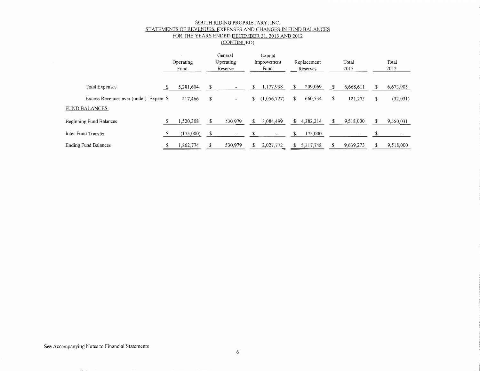#### <u>SOUTH RIDING PROPRIETARY, INC.</u> STATEMENTS OF REVENUES EXPENSES AND CHANGES IN FUND BALANCES FOR THE YEARS ENDED DECEMBER 31, 2013 AND 2012

(CONTINUED)

|                                        | Operating<br>Fund |    | General<br>Operating<br>Reserve |    | Capital<br>Improvement<br>Fund |   | Replacement<br>Reserves |    | Total<br>2013 | Total<br>2012   |
|----------------------------------------|-------------------|----|---------------------------------|----|--------------------------------|---|-------------------------|----|---------------|-----------------|
| <b>Total Expenses</b>                  | 5,281,604         |    |                                 | S  | 1,177,938                      |   | 209,069                 | S  | 6,668,611     | 6,673,905       |
| Excess Revenues over (under) Expens \$ | 517,466           | S  | $\overline{\phantom{a}}$        | \$ | (1,056,727)                    | S | 660,534                 | \$ | 121,273       | \$<br>(32, 031) |
| <b>FUND BALANCES:</b>                  |                   |    |                                 |    |                                |   |                         |    |               |                 |
| Beginning Fund Balances                | 1,520,308         |    | 530,979                         |    | 3,084,499                      | S | 4,382,214               |    | 9,518,000     | 9,550,031       |
| Inter-Fund Transfer                    | (175,000)         | -S |                                 |    |                                |   | 175,000                 |    |               |                 |
| <b>Ending Fund Balances</b>            | 1,862,774         |    | 530,979                         |    | 2,027,772                      |   | 5,217,748               |    | 9,639,273     | 9,518,000       |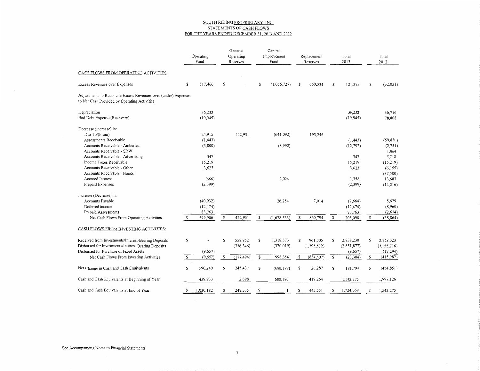# SOUTH RIDING PROPRIETARY INC. STATEMENTS OF CASH FLOWS<br>FOR THE YEARS ENDED DECEMBER 31, 2013 AND 2012

|                                                                                                                 |    | Operating<br>Fund |    | General<br>Operating<br>Reserves |    | Capital<br>Improvement<br>Fund |    | Replacement<br>Reserves |   | Total<br>2013 | Total<br>2012    |
|-----------------------------------------------------------------------------------------------------------------|----|-------------------|----|----------------------------------|----|--------------------------------|----|-------------------------|---|---------------|------------------|
| CASH FLOWS FROM OPERATING ACTIVITIES:                                                                           |    |                   |    |                                  |    |                                |    |                         |   |               |                  |
| Excess Revenues over Expenses                                                                                   | \$ | 517,466           | S  |                                  | \$ | (1,056,727)                    | S  | 660,534                 | s | 121,273       | \$<br>(32, 031)  |
| Adjustments to Reconcile Excess Revenues over (under) Expenses<br>to Net Cash Provided by Operating Activities: |    |                   |    |                                  |    |                                |    |                         |   |               |                  |
| Depreciation                                                                                                    |    | 36,232            |    |                                  |    |                                |    |                         |   | 36,232        | 36,716           |
| Bad Debt Expense (Recovery)                                                                                     |    | (19, 945)         |    |                                  |    |                                |    |                         |   | (19, 945)     | 78,808           |
| Decrease (Increase) in:                                                                                         |    |                   |    |                                  |    |                                |    |                         |   |               |                  |
| Due To/(From)                                                                                                   |    | 24,915            |    | 422,931                          |    | (641,092)                      |    | 193,246                 |   |               |                  |
| Assessments Receivable                                                                                          |    | (1, 443)          |    |                                  |    |                                |    |                         |   | (1, 443)      | (59, 830)        |
| Accounts Receivable - Amberlea                                                                                  |    | (3,800)           |    |                                  |    | (8,992)                        |    |                         |   | (12, 792)     | (2, 751)         |
| Accounts Receivable - SRW                                                                                       |    |                   |    |                                  |    |                                |    |                         |   |               | 1,864            |
| Accounts Receivable - Advertising                                                                               |    | 347               |    |                                  |    |                                |    |                         |   | 347           | 3,718            |
| Income Taxes Receivable                                                                                         |    | 15,219            |    |                                  |    |                                |    |                         |   | 15,219        | (15,219)         |
| Accounts Receivable - Other                                                                                     |    | 3,623             |    |                                  |    |                                |    |                         |   | 3,623         | (6, 155)         |
| Accounts Receivable - Bonds                                                                                     |    |                   |    |                                  |    |                                |    |                         |   |               | (37, 500)        |
| Accrued Interest                                                                                                |    | (666)             |    |                                  |    | 2,024                          |    |                         |   | 1,358         | 13,687           |
| Prepaid Expenses                                                                                                |    | (2, 399)          |    |                                  |    |                                |    |                         |   | (2,399)       | (14,216)         |
| Increase (Decrease) in:                                                                                         |    |                   |    |                                  |    |                                |    |                         |   |               |                  |
| Accounts Payable                                                                                                |    | (40, 932)         |    |                                  |    | 26,254                         |    | 7,014                   |   | (7,664)       | 5,679            |
| Deferred Income                                                                                                 |    | (12, 474)         |    |                                  |    |                                |    |                         |   | (12, 474)     | (8,960)          |
| Prepaid Assessments                                                                                             |    | 83,763            |    |                                  |    |                                |    |                         |   | 83,763        | (2,674)          |
| Net Cash Flows From Operating Activities                                                                        | -S | 599,906           | \$ | 422,931                          | \$ | (1,678,533)                    | \$ | 860,794                 | S | 205,098       | \$<br>(38, 864)  |
| CASH FLOWS FROM INVESTING ACTIVITIES:                                                                           |    |                   |    |                                  |    |                                |    |                         |   |               |                  |
| Received from Investments/Interest-Bearing Deposits                                                             | s  |                   | S  | 558,852                          | s  | 1,318,373                      | \$ | 961,005                 | s | 2,838,230     | \$<br>2,758,023  |
| Disbursed for Investments/Interest-Bearing Deposits                                                             |    |                   |    | (736, 346)                       |    | (320, 019)                     |    | (1,795,512)             |   | (2, 851, 877) | (3, 155, 716)    |
| Disbursed for Purchase of Fixed Assets                                                                          |    | (9,657)           |    |                                  |    |                                |    |                         |   | (9,657)       | (18, 294)        |
| Net Cash Flows From Investing Activities                                                                        | \$ | (9,657)           | \$ | (177, 494)                       | \$ | 998,354                        | \$ | (834, 507)              | s | (23, 304)     | \$<br>(415, 987) |
| Net Change in Cash and Cash Equivalents                                                                         | \$ | 590,249           | \$ | 245,437                          | S  | (680, 179)                     | \$ | 26,287                  | s | 181,794       | \$<br>(454, 851) |
| Cash and Cash Equivalents at Beginning of Year                                                                  |    | 439,933           |    | 2,898                            |    | 680,180                        |    | 419,264                 |   | 1,542,275     | 1,997,126        |
| Cash and Cash Equivalents at End of Year                                                                        | S  | 1,030,182         | s  | 248,335                          | S  | 1                              | \$ | 445,551                 | s | 1,724,069     | \$<br>1,542,275  |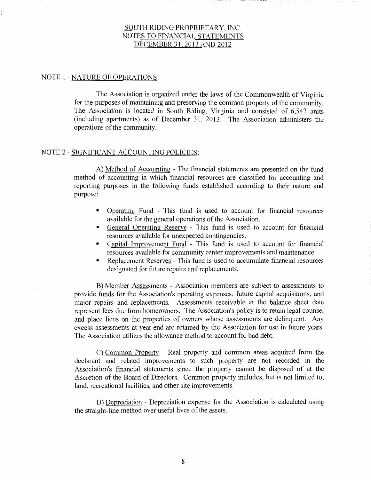# NOTE 1 - NATURE OF OPERATIONS:

The Association is organized under the laws of the Commonwealth of Virginia for the purposes of maintaining and preserving the common property of the community. The Association is located in South Riding, Virginia and consisted of 6,542 units (including apartments) as of December 31, 2013. The Association administers the operations of the community.

# NOTE 2 - SIGNIFICANT ACCOUNTING POLICIES:

A) Method of Accounting - The financial statements are presented on the fund method of accounting in which financial resources are classified for accounting and reporting purposes in the following funds established according to their nature and purpose:

- Operating Fund This fund is used to account for financial resources available for the general operations of the Association.
- General Operating Reserve This fund is used to account for financial resources available for unexpected contingencies.
- Capital Improvement Fund This fund is used to account for financial resources available for community center improvements and maintenance.
- Replacement Reserves This fund is used to accumulate financial resources designated for future repairs and replacements.

B) Member Assessments - Association members are subject to assessments to provide funds for the Association's operating expenses, future capital acquisitions, and major repairs and replacements. Assessments receivable at the balance sheet date represent fees due from homeowners. The Association's policy is to retain legal counsel and place liens on the properties of owners whose assessments are delinquent. Any excess assessments at year-end are retained by the Association for use in future years. The Association utilizes the allowance method to account for bad debt.

C) Common Property - Real property and common areas acquired from the declarant and related improvements to such property are not recorded in the Association's financial statements since the property cannot be disposed of at the discretion of the Board of Directors. Common property includes, but is not limited to, land, recreational facilities, and other site improvements.

D) Depreciation - Depreciation expense for the Association is calculated using the straight-line method over useful lives of the assets.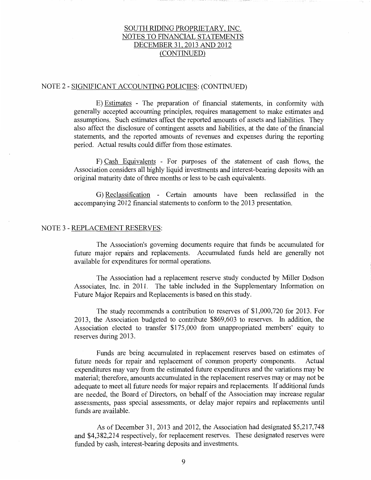### NOTE 2 - SIGNIFICANT ACCOUNTING POLICIES: (CONTINUED)

E) Estimates - The preparation of financial statements, in conformity with generally accepted accounting principles, requires management to make estimates and assumptions. Such estimates affect the reported amounts of assets and liabilities. They also affect the disclosure of contingent assets and liabilities, at the date of the financial statements, and the reported amounts of revenues and expenses during the reporting period. Actual results could differ from those estimates.

F) Cash Equivalents - For purposes of the statement of cash flows, the Association considers all highly liquid investments and interest-bearing deposits with an original maturity date of three months or less to be cash equivalents.

G) Reclassification - Certain amounts have been reclassified in the accompanying 2012 financial statements to conform to the 2013 presentation.

### NOTE 3 - REPLACEMENT RESERVES:

The Association's governing documents require that funds be accumulated for future major repairs and replacements. Accumulated funds held are generally not available for expenditures for normal operations.

The Association had a replacement reserve study conducted by Miller Dodson Associates, Inc. in 2011. The table included in the Supplementary Information on Future Major Repairs and Replacements is based on this study.

The study recommends a contribution to reserves of \$1,000,720 for 2013. For 2013, the Association budgeted to contribute \$869,603 to reserves. In addition, the Association elected to transfer \$175,000 from unappropriated members' equity to reserves during 2013.

Funds are being accumulated in replacement reserves based on estimates of future needs for repair and replacement of common property components. Actual expenditures may vary from the estimated future expenditures and the variations may be material; therefore, amounts accumulated in the replacement reserves may or may not be adequate to meet all future needs for major repairs and replacements. If additional funds are needed, the Board of Directors, on behalf of the Association may increase regular assessments, pass special assessments, or delay major repairs and replacements until funds are available.

As of December 31, 2013 and 2012, the Association had designated \$5,217,748 and \$4,382,214 respectively, for replacement reserves. These designated reserves were funded by cash, interest-bearing deposits and investments.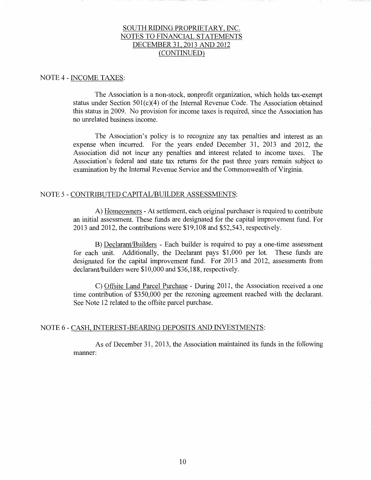#### NOTE 4 - INCOME TAXES:

The Association is a non-stock, nonprofit organization, which holds tax-exempt status under Section  $501(c)(4)$  of the Internal Revenue Code. The Association obtained this status in 2009. No provision for income taxes is required, since the Association has no unrelated business income.

The Association's policy is to recognize any tax penalties and interest as an expense when incurred. For the years ended December 31, 2013 and 2012, the Association did not incur any penalties and interest related to income taxes. The Association's federal and state tax returns for the past three years remain subject to examination by the Internal Revenue Service and the Commonwealth of Virginia.

### NOTE 5 - CONTRIBUTED CAPITAL/BUILDER ASSESSMENTS:

A) Homeowners - At settlement, each original purchaser is required to contribute an initial assessment. These funds are designated for the capital improvement fund. For 2013 and 2012, the contributions were \$19,108 and \$52,543, respectively.

B) Declarant/Builders - Each builder is required to pay a one-time assessment for each unit. Additionally, the Declarant pays \$1,000 per lot. These funds are designated for the capital improvement fund. For 2013 and 2012, assessments from declarant/builders were \$10,000 and \$36,188, respectively.

C) Offsite Land Parcel Purchase - During 2011, the Association received a one time contribution of \$350,000 per the rezoning agreement reached with the declarant. See Note 12 related to the offsite parcel purchase.

### NOTE 6 - CASH, INTEREST-BEARING DEPOSITS AND INVESTMENTS:

As of December 31, 2013, the Association maintained its funds in the following manner: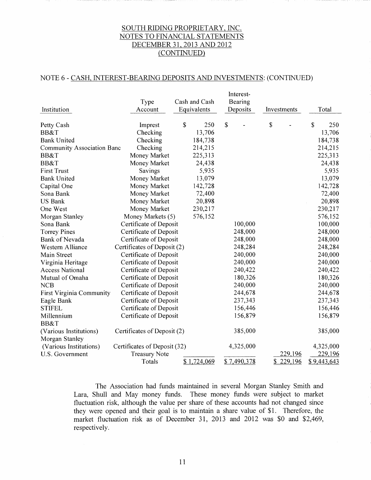# NOTE 6 - CASH, INTEREST-BEARING DEPOSITS AND INVESTMENTS: (CONTINUED)

| Institution                       | Type<br>Account              | Cash and Cash<br>Equivalents | Interest-<br>Bearing<br>Deposits |                        | Investments | Total       |
|-----------------------------------|------------------------------|------------------------------|----------------------------------|------------------------|-------------|-------------|
| Petty Cash                        | Imprest                      | \$<br>250                    | \$                               | \$                     |             | \$<br>250   |
| BB&T                              | Checking                     | 13,706                       |                                  |                        |             | 13,706      |
| <b>Bank United</b>                | Checking                     | 184,738                      |                                  |                        |             | 184,738     |
| <b>Community Association Banc</b> | Checking                     | 214,215                      |                                  |                        |             | 214,215     |
| BB&T                              | Money Market                 | 225,313                      |                                  |                        |             | 225,313     |
| <b>BB&amp;T</b>                   | Money Market                 | 24,438                       |                                  |                        |             | 24,438      |
| <b>First Trust</b>                | Savings                      | 5,935                        |                                  |                        |             | 5,935       |
| <b>Bank United</b>                | Money Market                 | 13,079                       |                                  |                        |             | 13,079      |
| Capital One                       | Money Market                 | 142,728                      |                                  |                        |             | 142,728     |
| Sona Bank                         | Money Market                 | 72,400                       |                                  |                        |             | 72,400      |
| <b>US Bank</b>                    | Money Market                 | 20,898                       |                                  |                        |             | 20,898      |
| One West                          | Money Market                 | 230,217                      |                                  |                        |             | 230,217     |
| Morgan Stanley                    | Money Markets (5)            | 576,152                      |                                  |                        |             | 576,152     |
| Sona Bank                         | Certificate of Deposit       |                              | 100,000                          |                        |             | 100,000     |
| <b>Torrey Pines</b>               | Certificate of Deposit       |                              | 248,000                          |                        |             | 248,000     |
| <b>Bank of Nevada</b>             | Certificate of Deposit       |                              | 248,000                          |                        |             | 248,000     |
| Western Alliance                  | Certificates of Deposit (2)  |                              | 248,284                          |                        |             | 248,284     |
| Main Street                       | Certificate of Deposit       |                              | 240,000                          |                        |             | 240,000     |
| Virginia Heritage                 | Certificate of Deposit       |                              | 240,000                          |                        |             | 240,000     |
| <b>Access National</b>            | Certificate of Deposit       |                              | 240,422                          |                        |             | 240,422     |
| Mutual of Omaha                   | Certificate of Deposit       |                              | 180,326                          |                        |             | 180,326     |
| <b>NCB</b>                        | Certificate of Deposit       |                              | 240,000                          |                        |             | 240,000     |
| <b>First Virginia Community</b>   | Certificate of Deposit       |                              | 244,678                          |                        |             | 244,678     |
| Eagle Bank                        | Certificate of Deposit       |                              | 237,343                          |                        |             | 237,343     |
| <b>STIFEL</b>                     | Certificate of Deposit       |                              | 156,446                          |                        |             | 156,446     |
| Millennium                        | Certificate of Deposit       |                              | 156,879                          |                        |             | 156,879     |
| <b>BB&amp;T</b>                   |                              |                              |                                  |                        |             |             |
| (Various Institutions)            | Certificates of Deposit (2)  |                              | 385,000                          |                        |             | 385,000     |
| Morgan Stanley                    |                              |                              |                                  |                        |             |             |
| (Various Institutions)            | Certificates of Deposit (32) |                              | 4,325,000                        |                        |             | 4,325,000   |
| U.S. Government                   | <b>Treasury Note</b>         |                              |                                  |                        | 229,196     | 229,196     |
|                                   | Totals                       | \$1,724,069                  | \$7,490,378                      | $\mathbf{\mathcal{L}}$ | 229,196     | \$9,443,643 |

The Association had funds maintained in several Morgan Stanley Smith and Lara, Shull and May money funds. These money funds were subject to market fluctuation risk, although the value per share of these accounts had not changed since they were opened and their goal is to maintain a share value of \$1. Therefore, the market fluctuation risk as of December 31, 2013 and 2012 was \$0 and \$2,469, respectively.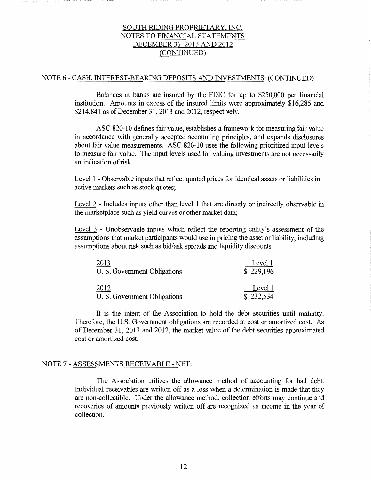# NOTE 6 - CASH, INTEREST-BEARING DEPOSITS AND INVESTMENTS: (CONTINUED)

Balances at banks are insured by the FDIC for up to \$250,000 per financial institution. Amounts in excess of the insured limits were approximately \$16,285 and \$214,841 as of December 31, 2013 and 2012, respectively.

ASC 820-10 defines fair value, establishes a framework for measuring fair value in accordance with generally accepted accounting principles, and expands disclosures about fair value measurements. ASC 820-10 uses the following prioritized input levels to measure fair value. The input levels used for valuing investments are not necessarily an indication of risk.

Level 1 - Observable inputs that reflect quoted prices for identical assets or liabilities in active markets such as stock quotes;

Level 2 - Includes inputs other than level 1 that are directly or indirectly observable in the marketplace such as yield curves or other market data;

Level 3 - Unobservable inputs which reflect the reporting entity's assessment of the assumptions that market participants would use in pricing the asset or liability, including assumptions about risk such as bid/ask spreads and liquidity discounts.

| 2013                         | Level 1   |
|------------------------------|-----------|
| U. S. Government Obligations | \$229,196 |
| 2012                         | Level 1   |
| U. S. Government Obligations | \$232,534 |

It is the intent of the Association to hold the debt securities until maturity. Therefore, the U.S. Government obligations are recorded at cost or amortized cost. As of December 31, 2013 and 2012, the market value of the debt securities approximated cost or amortized cost.

### NOTE 7 - ASSESSMENTS RECEIVABLE - NET:

The Association utilizes the allowance method of accounting for bad debt. Individual receivables are written off as a loss when a determination is made that they are non-collectible. Under the allowance method, collection efforts may continue and recoveries of amounts previously written off are recognized as income in the year of collection.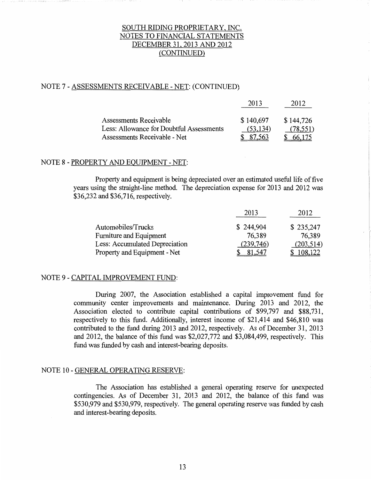# NOTE 7 - ASSESSMENTS RECEIVABLE - NET: (CONTINUED)

|                                          | 2013      |           |
|------------------------------------------|-----------|-----------|
| Assessments Receivable                   | \$140,697 | \$144,726 |
| Less: Allowance for Doubtful Assessments | (53, 134) | (78, 551) |
| Assessments Receivable - Net             | 87.563    | 66.175    |

# NOTE 8 - PROPERTY AND EQUIPMENT - NET:

Property and equipment is being depreciated over an estimated useful life of five years using the straight-line method. The depreciation expense for 2013 and 2012 was \$36,232 and \$36,716, respectively.

|                                | 2013      | 2012       |
|--------------------------------|-----------|------------|
| Automobiles/Trucks             | \$244,904 | \$235,247  |
| Furniture and Equipment        | 76,389    | 76,389     |
| Less: Accumulated Depreciation | (239,746) | (203, 514) |
| Property and Equipment - Net   | 81.547    | 108,122    |

### NOTE 9 - CAPITAL IMPROVEMENT FUND:

During 2007, the Association established a capital improvement fund for community center improvements and maintenance. During 2013 and 2012, the Association elected to contribute capital contributions of \$99,797 and \$88,731, respectively to this fund. Additionally, interest income of \$21,414 and \$46,810 was contributed to the fund during 2013 and 2012, respectively. As of December 31, 2013 and 2012, the balance of this fund was \$2,027,772 and \$3,084,499, respectively. This fund was funded by cash and interest-bearing deposits.

### NOTE 10 - GENERAL OPERATING RESERVE:

The Association has established a general operating reserve for unexpected contingencies. As of December 31, 2013 and 2012, the balance of this fund was \$530,979 and \$530,979, respectively. The general operating reserve was funded by cash and interest-bearing deposits.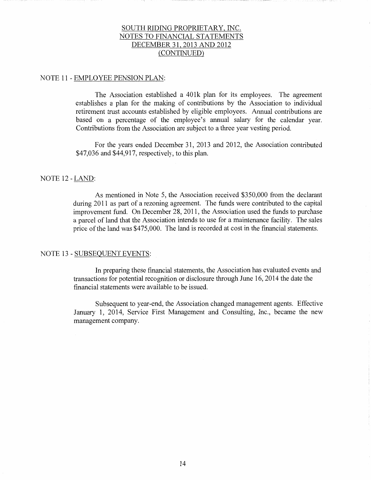### NOTE 11 - EMPLOYEE PENSION PLAN:

The Association established a 401k plan for its employees. The agreement establishes a plan for the making of contributions by the Association to individual retirement trust accounts established by eligible employees. Annual contributions are based on a percentage of the employee's annual salary for the calendar year. Contributions from the Association are subject to a three year vesting period.

For the years ended December 31, 2013 and 2012, the Association contributed \$47,036 and \$44,917, respectively, to this plan.

### NOTE 12-LAND:

As mentioned in Note 5, the Association received \$350,000 from the declarant during 2011 as part of a rezoning agreement. The funds were contributed to the capital improvement fund. On December 28, 2011, the Association used the funds to purchase a parcel of land that the Association intends to use for a maintenance facility. The sales price of the land was \$475,000. The land is recorded at cost in the financial statements.

# NOTE 13 - SUBSEQUENT EVENTS:

In preparing these financial statements, the Association has evaluated events and transactions for potential recognition or disclosure through June 16, 2014 the date the financial statements were available to be issued.

Subsequent to year-end, the Association changed management agents. Effective January 1, 2014, Service First Management and Consulting, Inc., became the new management company.